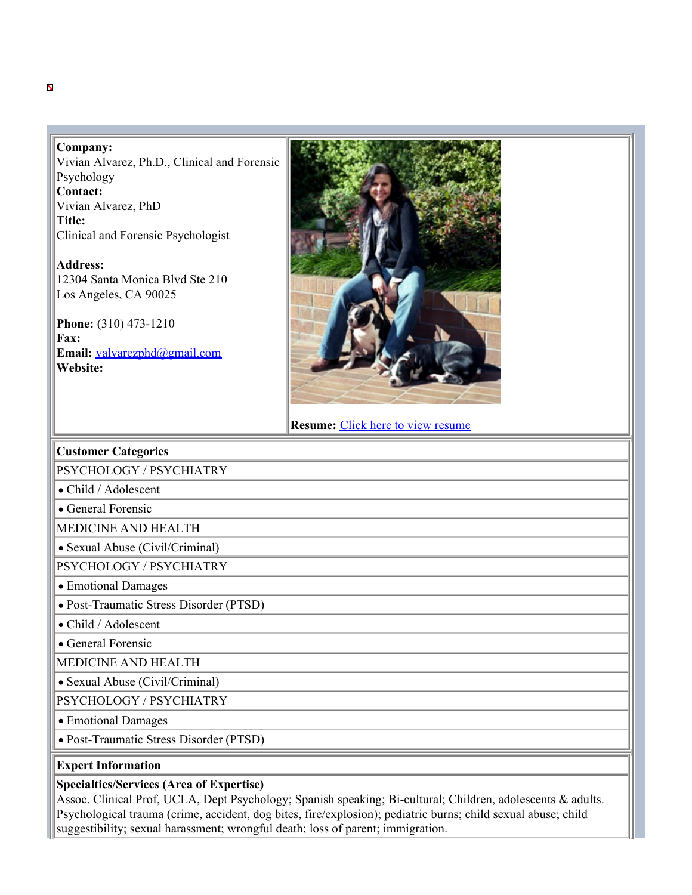## **Company:**

Vivian Alvarez, Ph.D., Clinical and Forensic Psychology **Contact:**  Vivian Alvarez, PhD **Title:** Clinical and Forensic Psychologist

**Address:**  12304 Santa Monica Blvd Ste 210 Los Angeles, CA 90025

**Phone:** (310) 473-1210 **Fax: Email:** [valvarezphd@gmail.com](mailto:valvarezphd@gmail.com) **Website:** 



**Resume:** [Click here to view resume](https://expert4law.org/ExpertData/Alvarez_E4LAW_11342382_74105778/Resume.pdf)

## **Customer Categories**

PSYCHOLOGY / PSYCHIATRY

Child / Adolescent

General Forensic

MEDICINE AND HEALTH

Sexual Abuse (Civil/Criminal)

PSYCHOLOGY / PSYCHIATRY

Emotional Damages

Post-Traumatic Stress Disorder (PTSD)

Child / Adolescent

General Forensic

MEDICINE AND HEALTH

Sexual Abuse (Civil/Criminal)

PSYCHOLOGY / PSYCHIATRY

Emotional Damages

Post-Traumatic Stress Disorder (PTSD)

## **Expert Information**

## **Specialties/Services (Area of Expertise)**

Assoc. Clinical Prof, UCLA, Dept Psychology; Spanish speaking; Bi-cultural; Children, adolescents & adults. Psychological trauma (crime, accident, dog bites, fire/explosion); pediatric burns; child sexual abuse; child suggestibility; sexual harassment; wrongful death; loss of parent; immigration.